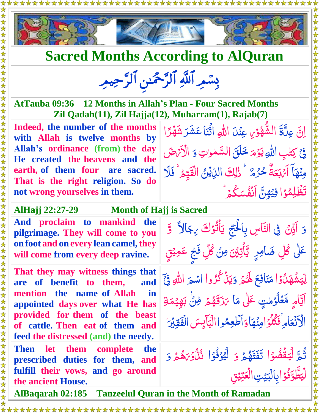



## **Sacred Months According to AlQuran**

بِسْمِرِ اللَّهِ الرَّحْمَدِ الرَّحِيمِ

**AtTauba 09:36 12 Months in Allah's Plan - Four Sacred Months Zil Qadah(11), Zil Hajja(12), Muharram(1), Rajab(7)**

**Indeed, the number of the months with Allah is twelve months by Allah's ordinance (from) the day He created the heavens and the earth, of them four are sacred. That is the right religion. So do not wrong yourselves in them.** 

اِنَّ عِنَّةَ الشُّهُوۡ َ عِنۡدَ اللهِ  $\ddot{\cdot}$ .<br>ب <u>أ</u>  $\overline{\mathcal{L}}$ ُلِّهِ مِنْهُمْ<br>مُعَامِد ر<br>ر ثَّنَا عَشَر*َ* شَهْرًا ر<br>ڈ ا ر<br>ر ر شه  $\tilde{\mathcal{A}}$ ۡ في كِتنبِ اللهِ ٰ  $\overline{\phantom{a}}$ يَوْمَ خَلَقَ السَّمْوٰتِ <u>أ</u> ٰ ٰ  $\ddot{ }$ وَ الْأَبْرَضَ مِنۡهَاۤ اَءۡبَعَةُ  $\tilde{\mathbf{A}}$ É .<br>أثربكة<br>ا ب  $\tilde{J}$ ٌ حُرُمٌ وَ إِلِكَ الدِّيْنُ الْقَيِّمُ ۚ فَلَا ل<br>لا ُّ ل ٰ ِ<br>ُ ار<br>ا <u>تب</u> **ک** issi<br>S ا  $\frac{1}{2}$ تَظُلِمُوۡا فِيَهِنَّ اَنَّفُسَكُمۡ ُمُّ  $\ddot{\bullet}$ ֦֞֝֝<br>֖֦֖֦֦֖֦֦֦֦֦֦֦֪֦֖֪֦֚֝֝֝֝֝֝֝֝֝֝֝֝֟֓֝֝  $\tilde{\mathcal{S}}$ ٲٮؙٛڠؙٛ؊ڮ۠۫۫ۿؘ <u>ُمُ</u> ֧֦֦֦֧֝֝֝<u>֛</u>

دَ ادَّنْ فِی النَّاسِ بِالْحَجِّ یَأْتُوْكَ

 ع ِ اف ن  $\tilde{\mathbf{r}}$ 

ر<br>د

بِالۡبَيۡتِ الۡعَتِيۡقِ

ع الۡ

مَنَافِعَ لَهُمْ

<u>أ</u>

تي اُ:  $\frac{1}{2}$ 

> ہ<br>گ ُ<br>ا

> > $\tilde{\mathbf{z}}$

ہ<br>گ  $\overline{\mathcal{L}}$ 

 $\tilde{ }$ 

 $\frac{1}{2}$ 

 $\tilde{\mathbf{A}}$ 

<u>ُ</u><br>ُ ش<br>لا و<br>ڏ ۡ

 $\frac{1}{2}$ 

وَيَنۡكُرُوا ر<br>ر

ِ<br>ُ  $\frac{1}{2}$ ي

ن مَا كَ<mark>زَقَهُ</mark>مْ  $\sim$ 

وَأَطْعِمُواالْبَأْيِسَ ِ<br>م

 $\tilde{V}$ 

يَاَثُوۡكَ رِجَالاً

ë K.J

ر<br>پر اش<sub>عَر</sub>َ الل<mark>َّهِ فِيَ</mark>

 $\overline{\mathbf{C}}$ ِ<br>مَ**رَقَهُ**مَّ قِنَّ بَهِيَّمَةِ  $\frac{1}{2}$  $\tilde{\mathcal{E}}$ 

ب

<u>ب</u>َ

ر<br>گ  $\frac{1}{\sqrt{2}}$ 

بِآرِ<br>چا ِ<br>ر

وَ لَيُوْفُوْا نُذُوْرَهُمْ <u>أ</u> وُ<br>ف <u>أ</u> الم<br>المراجع

بہ<br>پ الۡبَآیِسَ

ى<mark>جَالاً وَ</mark>

<u>ق</u>

اَ<br>ا

ۡ

 $\tilde{\lambda}$ م ِهي  $\frac{1}{2}$ 

الۡقَقِيۡرَ لکو<br>په

> ر<br>گ **هُ**  $\tilde{V}$ نُّ<br>نُذُو*َن* <u>ُ</u><br>ُ

 $\frac{1}{2}$ 

 $\frac{1}{2}$ و  $\ddot{\bm{x}}$ 

Ĵ

ن<br>ُ .<br>•<br>•

**گا** 

)<br>امر Í

ُّثُمَّ لِّيَقَٰضُوۡۖ ا

ر<br>گ <u>ـ</u> ر<br>د

ا <u>ُرَ</u> راران<br>مساور فو نُو<br>ف  $\frac{1}{2}$  $\frac{1}{2}$ 

لْيَطَّوَّفُوَْ ابِالْبَيْتِ

نی<br>نا

تە<br>بر

ر<br>مون  $\frac{1}{2}$ ِ<br>لِيَ  $\sum_{i=1}^{n}$ ل

 $\frac{1}{2}$ 

ا <u>ُ</u><br>ُ و د شه <u>ُ</u>

الْأَنْعَامِ فَكُلُوً امِنُهَا

اَيَّامٍ مَّعۡلُوۡمٰتٍ عَلٰى مَا

ٰ <u>أ</u>  $\mu$ ُ<br>و  $\ddot{\bm{\delta}}$ 

<u>ُ</u><br>ُ  $\int$ م<br>ا

<u>ُرَ</u>

لِّيَقَّضُوۡ التَّقَثَّهُ مَ

**AlHajj 22:27-29 Month of Hajj is Sacred** 

**And proclaim to mankind the pilgrimage. They will come to you on foot and on every lean camel,they will come from every deep ravine.** عَلٰی کُلِّ ضَامِرٍ ۖ يَّأْتِيْنَ مِنۡ کُلِّ فَجِّ عَمِيْقٍ ۖ إِ

**That they may witness things that are of benefit to them, and mention the name of Allah in appointed days over what He has provided for them of the beast of cattle. Then eat of them and feed the distressed (and) the needy.** 

**Then let them complete the prescribed duties for them, and fulfill their vows, and go around the ancient House.** 

 $\frac{1}{2}$  $\frac{1}{2}$  $\tilde{=}$ É **AlBaqarah 02:185 Tanzeelul Quran in the Month of Ramadan**